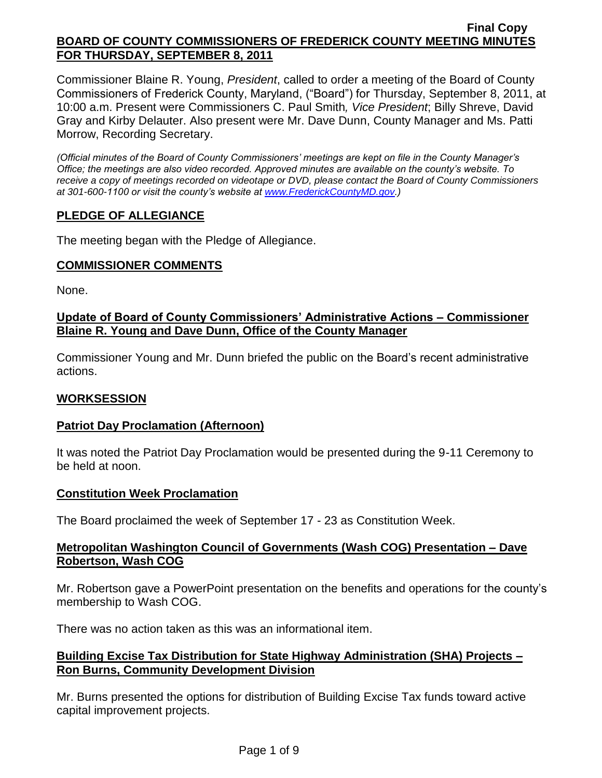Commissioner Blaine R. Young, *President*, called to order a meeting of the Board of County Commissioners of Frederick County, Maryland, ("Board") for Thursday, September 8, 2011, at 10:00 a.m. Present were Commissioners C. Paul Smith*, Vice President*; Billy Shreve, David Gray and Kirby Delauter. Also present were Mr. Dave Dunn, County Manager and Ms. Patti Morrow, Recording Secretary.

*(Official minutes of the Board of County Commissioners' meetings are kept on file in the County Manager's Office; the meetings are also video recorded. Approved minutes are available on the county's website. To receive a copy of meetings recorded on videotape or DVD, please contact the Board of County Commissioners at 301-600-1100 or visit the county's website at [www.FrederickCountyMD.gov.](http://www.frederickcountymd.gov/))*

## **PLEDGE OF ALLEGIANCE**

The meeting began with the Pledge of Allegiance.

## **COMMISSIONER COMMENTS**

None.

## **Update of Board of County Commissioners' Administrative Actions – Commissioner Blaine R. Young and Dave Dunn, Office of the County Manager**

Commissioner Young and Mr. Dunn briefed the public on the Board's recent administrative actions.

## **WORKSESSION**

## **Patriot Day Proclamation (Afternoon)**

It was noted the Patriot Day Proclamation would be presented during the 9-11 Ceremony to be held at noon.

## **Constitution Week Proclamation**

The Board proclaimed the week of September 17 - 23 as Constitution Week.

## **Metropolitan Washington Council of Governments (Wash COG) Presentation – Dave Robertson, Wash COG**

Mr. Robertson gave a PowerPoint presentation on the benefits and operations for the county's membership to Wash COG.

There was no action taken as this was an informational item.

## **Building Excise Tax Distribution for State Highway Administration (SHA) Projects – Ron Burns, Community Development Division**

Mr. Burns presented the options for distribution of Building Excise Tax funds toward active capital improvement projects.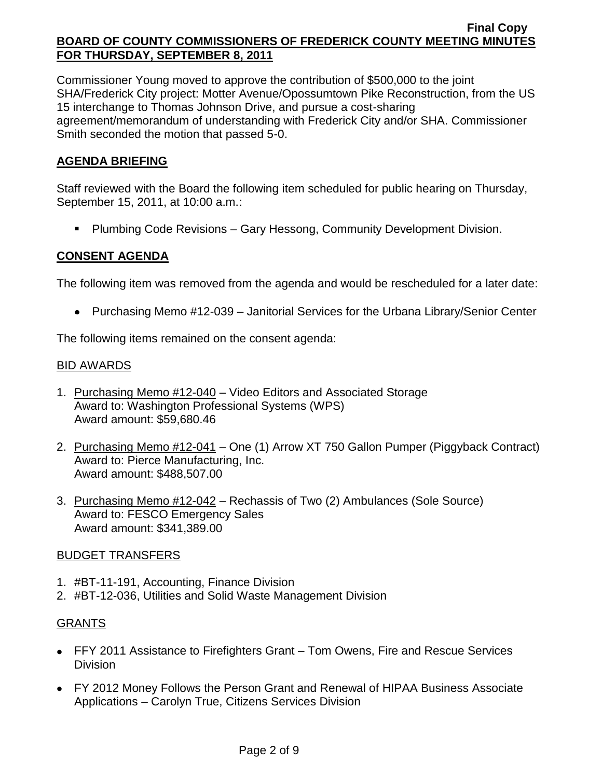Commissioner Young moved to approve the contribution of \$500,000 to the joint SHA/Frederick City project: Motter Avenue/Opossumtown Pike Reconstruction, from the US 15 interchange to Thomas Johnson Drive, and pursue a cost-sharing agreement/memorandum of understanding with Frederick City and/or SHA. Commissioner Smith seconded the motion that passed 5-0.

# **AGENDA BRIEFING**

Staff reviewed with the Board the following item scheduled for public hearing on Thursday, September 15, 2011, at 10:00 a.m.:

Plumbing Code Revisions – Gary Hessong, Community Development Division.

# **CONSENT AGENDA**

The following item was removed from the agenda and would be rescheduled for a later date:

• Purchasing Memo #12-039 – Janitorial Services for the Urbana Library/Senior Center

The following items remained on the consent agenda:

#### <u>BID AWARDS</u>

- 1. Purchasing Memo #12-040 Video Editors and Associated Storage Award to: Washington Professional Systems (WPS) Award amount: \$59,680.46
- 2. Purchasing Memo #12-041 One (1) Arrow XT 750 Gallon Pumper (Piggyback Contract) Award to: Pierce Manufacturing, Inc. Award amount: \$488,507.00
- 3. Purchasing Memo #12-042 Rechassis of Two (2) Ambulances (Sole Source) Award to: FESCO Emergency Sales Award amount: \$341,389.00

## BUDGET TRANSFERS

- 1. #BT-11-191, Accounting, Finance Division
- 2. #BT-12-036, Utilities and Solid Waste Management Division

## GRANTS

- FFY 2011 Assistance to Firefighters Grant Tom Owens, Fire and Rescue Services **Division**
- FY 2012 Money Follows the Person Grant and Renewal of HIPAA Business Associate Applications – Carolyn True, Citizens Services Division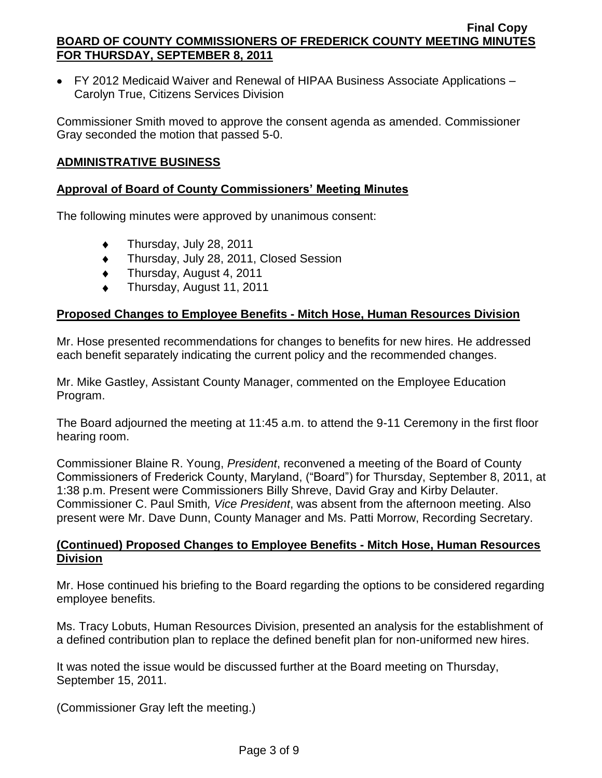FY 2012 Medicaid Waiver and Renewal of HIPAA Business Associate Applications – Carolyn True, Citizens Services Division

Commissioner Smith moved to approve the consent agenda as amended. Commissioner Gray seconded the motion that passed 5-0.

## **ADMINISTRATIVE BUSINESS**

## **Approval of Board of County Commissioners' Meeting Minutes**

The following minutes were approved by unanimous consent:

- Thursday, July 28, 2011  $\bullet$
- Thursday, July 28, 2011, Closed Session  $\bullet$
- Thursday, August 4, 2011  $\bullet$
- Thursday, August 11, 2011

## **Proposed Changes to Employee Benefits - Mitch Hose, Human Resources Division**

Mr. Hose presented recommendations for changes to benefits for new hires. He addressed each benefit separately indicating the current policy and the recommended changes.

Mr. Mike Gastley, Assistant County Manager, commented on the Employee Education Program.

The Board adjourned the meeting at 11:45 a.m. to attend the 9-11 Ceremony in the first floor hearing room.

Commissioner Blaine R. Young, *President*, reconvened a meeting of the Board of County Commissioners of Frederick County, Maryland, ("Board") for Thursday, September 8, 2011, at 1:38 p.m. Present were Commissioners Billy Shreve, David Gray and Kirby Delauter. Commissioner C. Paul Smith*, Vice President*, was absent from the afternoon meeting. Also present were Mr. Dave Dunn, County Manager and Ms. Patti Morrow, Recording Secretary.

## **(Continued) Proposed Changes to Employee Benefits - Mitch Hose, Human Resources Division**

Mr. Hose continued his briefing to the Board regarding the options to be considered regarding employee benefits.

Ms. Tracy Lobuts, Human Resources Division, presented an analysis for the establishment of a defined contribution plan to replace the defined benefit plan for non-uniformed new hires.

It was noted the issue would be discussed further at the Board meeting on Thursday, September 15, 2011.

(Commissioner Gray left the meeting.)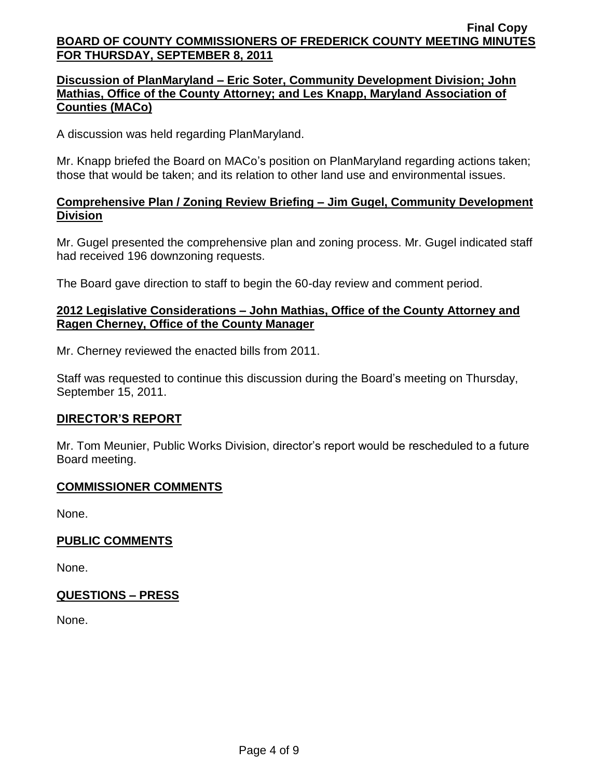## **Discussion of PlanMaryland – Eric Soter, Community Development Division; John Mathias, Office of the County Attorney; and Les Knapp, Maryland Association of Counties (MACo)**

A discussion was held regarding PlanMaryland.

Mr. Knapp briefed the Board on MACo's position on PlanMaryland regarding actions taken; those that would be taken; and its relation to other land use and environmental issues.

## **Comprehensive Plan / Zoning Review Briefing – Jim Gugel, Community Development Division**

Mr. Gugel presented the comprehensive plan and zoning process. Mr. Gugel indicated staff had received 196 downzoning requests.

The Board gave direction to staff to begin the 60-day review and comment period.

## **2012 Legislative Considerations – John Mathias, Office of the County Attorney and Ragen Cherney, Office of the County Manager**

Mr. Cherney reviewed the enacted bills from 2011.

Staff was requested to continue this discussion during the Board's meeting on Thursday, September 15, 2011.

## **DIRECTOR'S REPORT**

Mr. Tom Meunier, Public Works Division, director's report would be rescheduled to a future Board meeting.

## **COMMISSIONER COMMENTS**

None.

## **PUBLIC COMMENTS**

None.

## **QUESTIONS – PRESS**

None.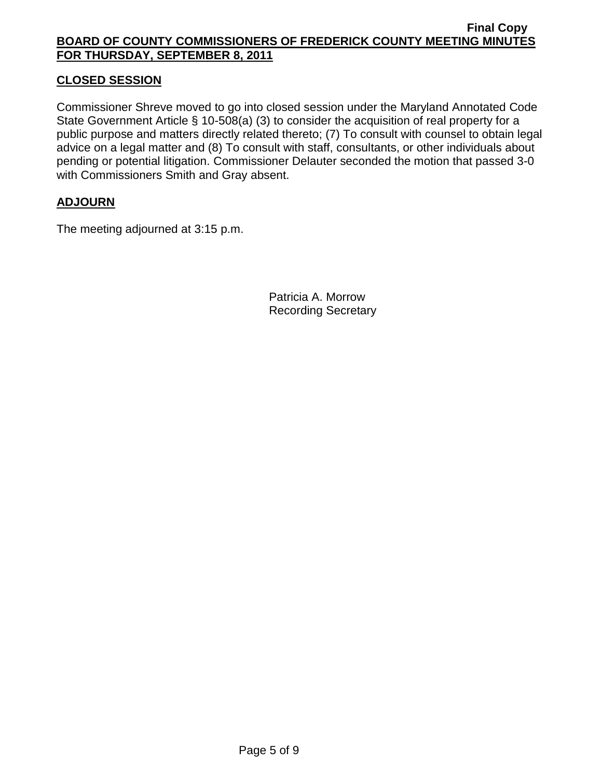## **CLOSED SESSION**

Commissioner Shreve moved to go into closed session under the Maryland Annotated Code State Government Article § 10-508(a) (3) to consider the acquisition of real property for a public purpose and matters directly related thereto; (7) To consult with counsel to obtain legal advice on a legal matter and (8) To consult with staff, consultants, or other individuals about pending or potential litigation. Commissioner Delauter seconded the motion that passed 3-0 with Commissioners Smith and Gray absent.

## **ADJOURN**

The meeting adjourned at 3:15 p.m.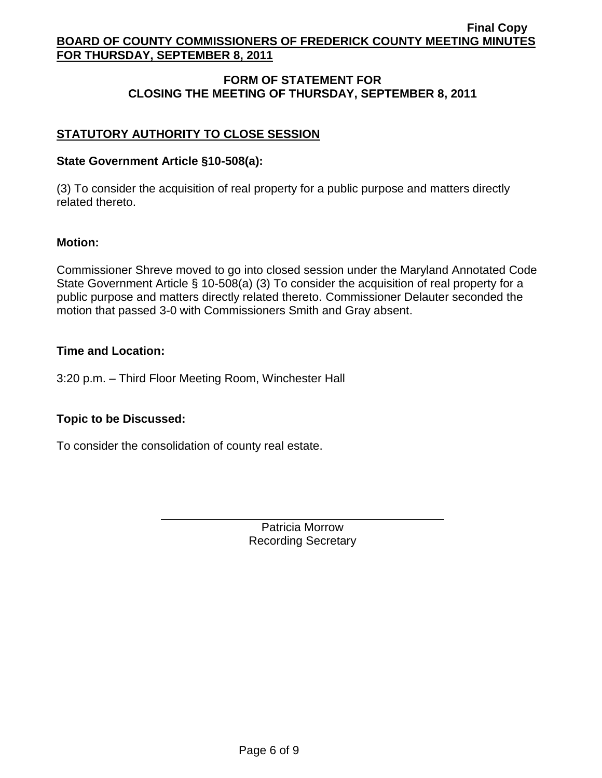# **FORM OF STATEMENT FOR CLOSING THE MEETING OF THURSDAY, SEPTEMBER 8, 2011**

# **STATUTORY AUTHORITY TO CLOSE SESSION**

## **State Government Article §10-508(a):**

(3) To consider the acquisition of real property for a public purpose and matters directly related thereto.

#### **Motion:**

Commissioner Shreve moved to go into closed session under the Maryland Annotated Code State Government Article § 10-508(a) (3) To consider the acquisition of real property for a public purpose and matters directly related thereto. Commissioner Delauter seconded the motion that passed 3-0 with Commissioners Smith and Gray absent.

#### **Time and Location:**

3:20 p.m. – Third Floor Meeting Room, Winchester Hall

## **Topic to be Discussed:**

To consider the consolidation of county real estate.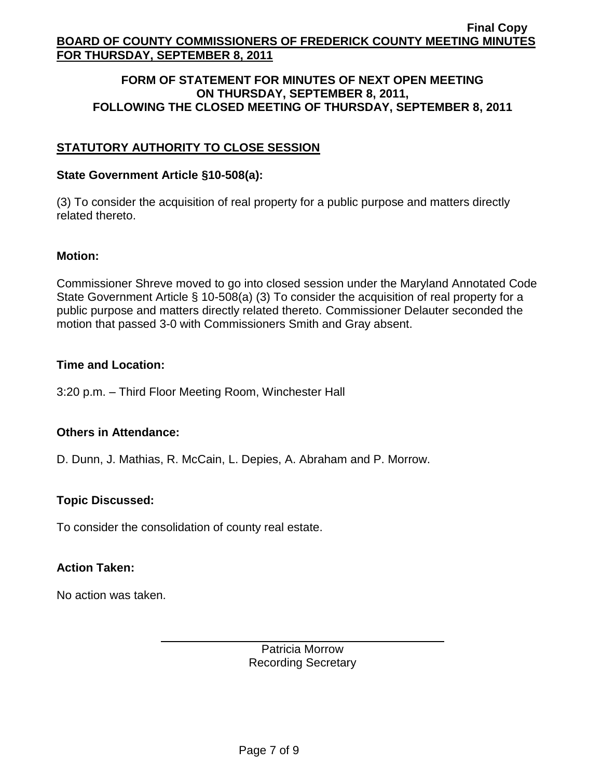#### **FORM OF STATEMENT FOR MINUTES OF NEXT OPEN MEETING ON THURSDAY, SEPTEMBER 8, 2011, FOLLOWING THE CLOSED MEETING OF THURSDAY, SEPTEMBER 8, 2011**

# **STATUTORY AUTHORITY TO CLOSE SESSION**

#### **State Government Article §10-508(a):**

(3) To consider the acquisition of real property for a public purpose and matters directly related thereto.

#### **Motion:**

Commissioner Shreve moved to go into closed session under the Maryland Annotated Code State Government Article § 10-508(a) (3) To consider the acquisition of real property for a public purpose and matters directly related thereto. Commissioner Delauter seconded the motion that passed 3-0 with Commissioners Smith and Gray absent.

#### **Time and Location:**

3:20 p.m. – Third Floor Meeting Room, Winchester Hall

## **Others in Attendance:**

D. Dunn, J. Mathias, R. McCain, L. Depies, A. Abraham and P. Morrow.

## **Topic Discussed:**

To consider the consolidation of county real estate.

## **Action Taken:**

No action was taken.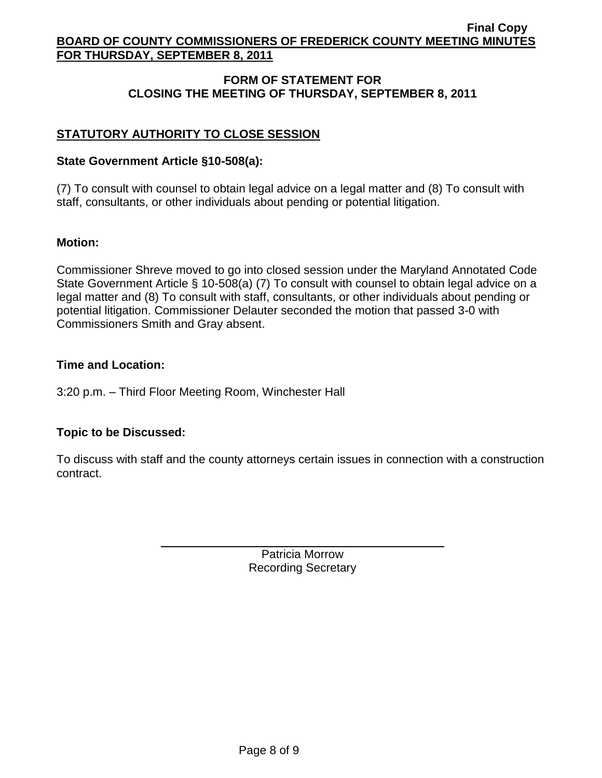# **FORM OF STATEMENT FOR CLOSING THE MEETING OF THURSDAY, SEPTEMBER 8, 2011**

# **STATUTORY AUTHORITY TO CLOSE SESSION**

## **State Government Article §10-508(a):**

(7) To consult with counsel to obtain legal advice on a legal matter and (8) To consult with staff, consultants, or other individuals about pending or potential litigation.

## **Motion:**

Commissioner Shreve moved to go into closed session under the Maryland Annotated Code State Government Article § 10-508(a) (7) To consult with counsel to obtain legal advice on a legal matter and (8) To consult with staff, consultants, or other individuals about pending or potential litigation. Commissioner Delauter seconded the motion that passed 3-0 with Commissioners Smith and Gray absent.

## **Time and Location:**

3:20 p.m. – Third Floor Meeting Room, Winchester Hall

# **Topic to be Discussed:**

To discuss with staff and the county attorneys certain issues in connection with a construction contract.